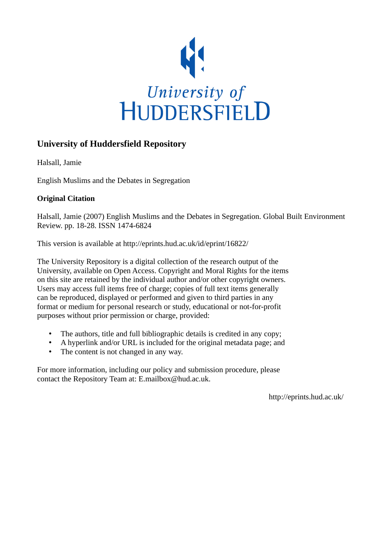

## **University of Huddersfield Repository**

Halsall, Jamie

English Muslims and the Debates in Segregation

#### **Original Citation**

Halsall, Jamie (2007) English Muslims and the Debates in Segregation. Global Built Environment Review. pp. 18-28. ISSN 1474-6824

This version is available at http://eprints.hud.ac.uk/id/eprint/16822/

The University Repository is a digital collection of the research output of the University, available on Open Access. Copyright and Moral Rights for the items on this site are retained by the individual author and/or other copyright owners. Users may access full items free of charge; copies of full text items generally can be reproduced, displayed or performed and given to third parties in any format or medium for personal research or study, educational or not-for-profit purposes without prior permission or charge, provided:

- The authors, title and full bibliographic details is credited in any copy;
- A hyperlink and/or URL is included for the original metadata page; and
- The content is not changed in any way.

For more information, including our policy and submission procedure, please contact the Repository Team at: E.mailbox@hud.ac.uk.

http://eprints.hud.ac.uk/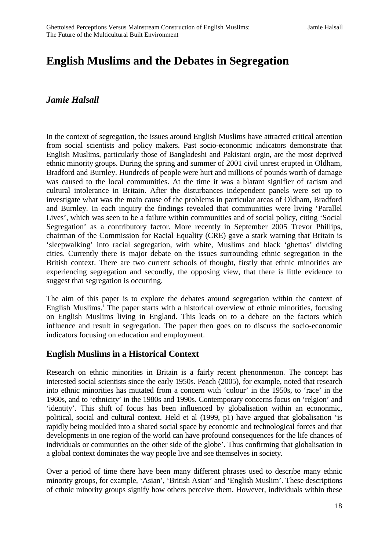# **English Muslims and the Debates in Segregation**

### *Jamie Halsall*

In the context of segregation, the issues around English Muslims have attracted critical attention from social scientists and policy makers. Past socio-econonmic indicators demonstrate that English Muslims, particularly those of Bangladeshi and Pakistani orgin, are the most deprived ethnic minority groups. During the spring and summer of 2001 civil unrest erupted in Oldham, Bradford and Burnley. Hundreds of people were hurt and millions of pounds worth of damage was caused to the local communities. At the time it was a blatant signifier of racism and cultural intolerance in Britain. After the disturbances independent panels were set up to investigate what was the main cause of the problems in particular areas of Oldham, Bradford and Burnley. In each inquiry the findings revealed that communities were living 'Parallel Lives', which was seen to be a failure within communities and of social policy, citing 'Social Segregation' as a contributory factor. More recently in September 2005 Trevor Phillips, chairman of the Commission for Racial Equality (CRE) gave a stark warning that Britain is 'sleepwalking' into racial segregation, with white, Muslims and black 'ghettos' dividing cities. Currently there is major debate on the issues surrounding ethnic segregation in the British context. There are two current schools of thought, firstly that ethnic minorities are experiencing segregation and secondly, the opposing view, that there is little evidence to suggest that segregation is occurring.

The aim of this paper is to explore the debates around segregation within the context of English Muslims.<sup>[1](#page-11-0)</sup> The paper starts with a historical overview of ethnic minorities, focusing on English Muslims living in England. This leads on to a debate on the factors which influence and result in segregation. The paper then goes on to discuss the socio-economic indicators focusing on education and employment.

#### **English Muslims in a Historical Context**

Research on ethnic minorities in Britain is a fairly recent phenonmenon. The concept has interested social scientists since the early 1950s. Peach (2005), for example, noted that research into ethnic minorities has mutated from a concern with 'colour' in the 1950s, to 'race' in the 1960s, and to 'ethnicity' in the 1980s and 1990s. Contemporary concerns focus on 'relgion' and 'identity'. This shift of focus has been influenced by globalisation within an econonmic, political, social and cultural context. Held et al (1999, p1) have argued that globalisation 'is rapidly being moulded into a shared social space by economic and technological forces and that developments in one region of the world can have profound consequences for the life chances of individuals or communties on the other side of the globe'. Thus confirming that globalisation in a global context dominates the way people live and see themselves in society.

Over a period of time there have been many different phrases used to describe many ethnic minority groups, for example, 'Asian', 'British Asian' and 'English Muslim'. These descriptions of ethnic minority groups signify how others perceive them. However, individuals within these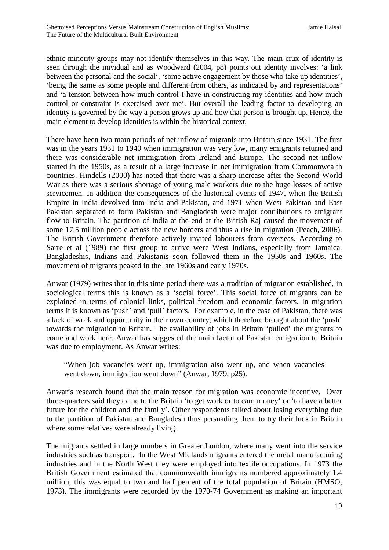ethnic minority groups may not identify themselves in this way. The main crux of identity is seen through the inividual and as Woodward (2004, p8) points out identity involves: 'a link between the personal and the social', 'some active engagement by those who take up identities', 'being the same as some people and different from others, as indicated by and representations' and 'a tension between how much control I have in constructing my identities and how much control or constraint is exercised over me'. But overall the leading factor to developing an identity is governed by the way a person grows up and how that person is brought up. Hence, the main element to develop identities is within the historical context.

There have been two main periods of net inflow of migrants into Britain since 1931. The first was in the years 1931 to 1940 when immigration was very low, many emigrants returned and there was considerable net immigration from Ireland and Europe. The second net inflow started in the 1950s, as a result of a large increase in net immigration from Commonwealth countries. Hindells (2000) has noted that there was a sharp increase after the Second World War as there was a serious shortage of young male workers due to the huge losses of active servicemen. In addition the consequences of the historical events of 1947, when the British Empire in India devolved into India and Pakistan, and 1971 when West Pakistan and East Pakistan separated to form Pakistan and Bangladesh were major contributions to emigrant flow to Britain. The partition of India at the end at the British Raj caused the movement of some 17.5 million people across the new borders and thus a rise in migration (Peach, 2006). The British Government therefore actively invited labourers from overseas. According to Sarre et al (1989) the first group to arrive were West Indians, especially from Jamaica. Bangladeshis, Indians and Pakistanis soon followed them in the 1950s and 1960s. The movement of migrants peaked in the late 1960s and early 1970s.

Anwar (1979) writes that in this time period there was a tradition of migration established, in sociological terms this is known as a 'social force'. This social force of migrants can be explained in terms of colonial links, political freedom and economic factors. In migration terms it is known as 'push' and 'pull' factors. For example, in the case of Pakistan, there was a lack of work and opportunity in their own country, which therefore brought about the 'push' towards the migration to Britain. The availability of jobs in Britain 'pulled' the migrants to come and work here. Anwar has suggested the main factor of Pakistan emigration to Britain was due to employment. As Anwar writes:

"When job vacancies went up, immigration also went up, and when vacancies went down, immigration went down" (Anwar, 1979, p25).

Anwar's research found that the main reason for migration was economic incentive. Over three-quarters said they came to the Britain 'to get work or to earn money' or 'to have a better future for the children and the family'. Other respondents talked about losing everything due to the partition of Pakistan and Bangladesh thus persuading them to try their luck in Britain where some relatives were already living.

The migrants settled in large numbers in Greater London, where many went into the service industries such as transport. In the West Midlands migrants entered the metal manufacturing industries and in the North West they were employed into textile occupations. In 1973 the British Government estimated that commonwealth immigrants numbered approximately 1.4 million, this was equal to two and half percent of the total population of Britain (HMSO, 1973). The immigrants were recorded by the 1970-74 Government as making an important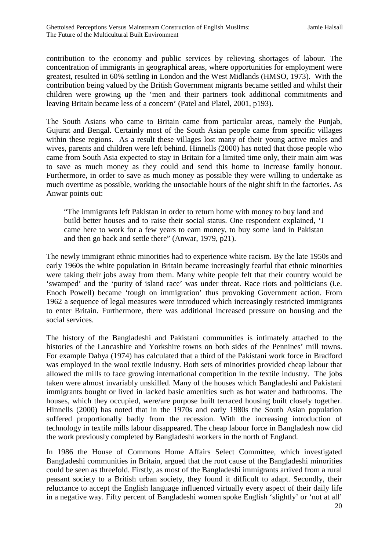contribution to the economy and public services by relieving shortages of labour. The concentration of immigrants in geographical areas, where opportunities for employment were greatest, resulted in 60% settling in London and the West Midlands (HMSO, 1973). With the contribution being valued by the British Government migrants became settled and whilst their children were growing up the 'men and their partners took additional commitments and leaving Britain became less of a concern' (Patel and Platel, 2001, p193).

The South Asians who came to Britain came from particular areas, namely the Punjab, Gujurat and Bengal. Certainly most of the South Asian people came from specific villages within these regions. As a result these villages lost many of their young active males and wives, parents and children were left behind. Hinnells (2000) has noted that those people who came from South Asia expected to stay in Britain for a limited time only, their main aim was to save as much money as they could and send this home to increase family honour. Furthermore, in order to save as much money as possible they were willing to undertake as much overtime as possible, working the unsociable hours of the night shift in the factories. As Anwar points out:

"The immigrants left Pakistan in order to return home with money to buy land and build better houses and to raise their social status. One respondent explained, 'I came here to work for a few years to earn money, to buy some land in Pakistan and then go back and settle there" (Anwar, 1979, p21).

The newly immigrant ethnic minorities had to experience white racism. By the late 1950s and early 1960s the white population in Britain became increasingly fearful that ethnic minorities were taking their jobs away from them. Many white people felt that their country would be 'swamped' and the 'purity of island race' was under threat. Race riots and politicians (i.e. Enoch Powell) became 'tough on immigration' thus provoking Government action. From 1962 a sequence of legal measures were introduced which increasingly restricted immigrants to enter Britain. Furthermore, there was additional increased pressure on housing and the social services.

The history of the Bangladeshi and Pakistani communities is intimately attached to the histories of the Lancashire and Yorkshire towns on both sides of the Pennines' mill towns. For example Dahya (1974) has calculated that a third of the Pakistani work force in Bradford was employed in the wool textile industry. Both sets of minorities provided cheap labour that allowed the mills to face growing international competition in the textile industry. The jobs taken were almost invariably unskilled. Many of the houses which Bangladeshi and Pakistani immigrants bought or lived in lacked basic amenities such as hot water and bathrooms. The houses, which they occupied, were/are purpose built terraced housing built closely together. Hinnells (2000) has noted that in the 1970s and early 1980s the South Asian population suffered proportionally badly from the recession. With the increasing introduction of technology in textile mills labour disappeared. The cheap labour force in Bangladesh now did the work previously completed by Bangladeshi workers in the north of England.

In 1986 the House of Commons Home Affairs Select Committee, which investigated Bangladeshi communities in Britain, argued that the root cause of the Bangladeshi minorities could be seen as threefold. Firstly, as most of the Bangladeshi immigrants arrived from a rural peasant society to a British urban society, they found it difficult to adapt. Secondly, their reluctance to accept the English language influenced virtually every aspect of their daily life in a negative way. Fifty percent of Bangladeshi women spoke English 'slightly' or 'not at all'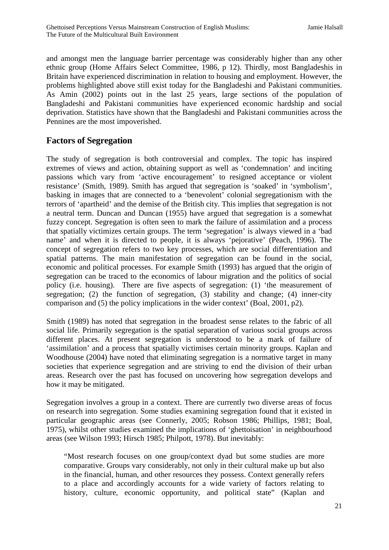and amongst men the language barrier percentage was considerably higher than any other ethnic group (Home Affairs Select Committee, 1986, p 12). Thirdly, most Bangladeshis in Britain have experienced discrimination in relation to housing and employment. However, the problems highlighted above still exist today for the Bangladeshi and Pakistani communities. As Amin (2002) points out in the last 25 years, large sections of the population of Bangladeshi and Pakistani communities have experienced economic hardship and social deprivation. Statistics have shown that the Bangladeshi and Pakistani communities across the Pennines are the most impoverished.

## **Factors of Segregation**

The study of segregation is both controversial and complex. The topic has inspired extremes of views and action, obtaining support as well as 'condemnation' and inciting passions which vary from 'active encouragement' to resigned acceptance or violent resistance' (Smith, 1989). Smith has argued that segregation is 'soaked' in 'symbolism', basking in images that are connected to a 'benevolent' colonial segregationism with the terrors of 'apartheid' and the demise of the British city. This implies that segregation is not a neutral term. Duncan and Duncan (1955) have argued that segregation is a somewhat fuzzy concept. Segregation is often seen to mark the failure of assimilation and a process that spatially victimizes certain groups. The term 'segregation' is always viewed in a 'bad name' and when it is directed to people, it is always 'pejorative' (Peach, 1996). The concept of segregation refers to two key processes, which are social differentiation and spatial patterns. The main manifestation of segregation can be found in the social, economic and political processes. For example Smith (1993) has argued that the origin of segregation can be traced to the economics of labour migration and the politics of social policy (i.e. housing). There are five aspects of segregation: (1) 'the measurement of segregation; (2) the function of segregation, (3) stability and change; (4) inner-city comparison and (5) the policy implications in the wider context' (Boal, 2001, p2).

Smith (1989) has noted that segregation in the broadest sense relates to the fabric of all social life. Primarily segregation is the spatial separation of various social groups across different places. At present segregation is understood to be a mark of failure of 'assimilation' and a process that spatially victimises certain minority groups. Kaplan and Woodhouse (2004) have noted that eliminating segregation is a normative target in many societies that experience segregation and are striving to end the division of their urban areas. Research over the past has focused on uncovering how segregation develops and how it may be mitigated.

Segregation involves a group in a context. There are currently two diverse areas of focus on research into segregation. Some studies examining segregation found that it existed in particular geographic areas (see Connerly, 2005; Robson 1986; Phillips, 1981; Boal, 1975), whilst other studies examined the implications of 'ghettoisation' in neighbourhood areas (see Wilson 1993; Hirsch 1985; Philpott, 1978). But inevitably:

"Most research focuses on one group/context dyad but some studies are more comparative. Groups vary considerably, not only in their cultural make up but also in the financial, human, and other resources they possess. Context generally refers to a place and accordingly accounts for a wide variety of factors relating to history, culture, economic opportunity, and political state" (Kaplan and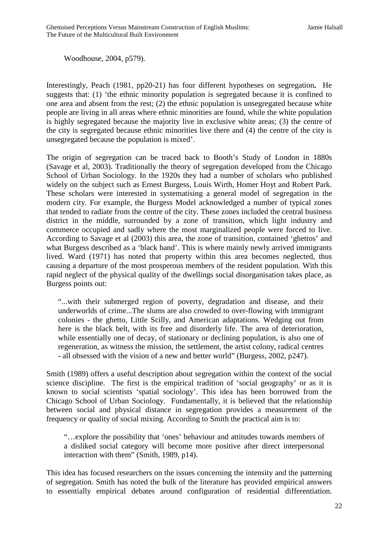Woodhouse, 2004, p579).

Interestingly, Peach (1981, pp20-21) has four different hypotheses on segregation**.** He suggests that: (1) 'the ethnic minority population is segregated because it is confined to one area and absent from the rest; (2) the ethnic population is unsegregated because white people are living in all areas where ethnic minorities are found, while the white population is highly segregated because the majority live in exclusive white areas; (3) the centre of the city is segregated because ethnic minorities live there and (4) the centre of the city is unsegregated because the population is mixed'.

The origin of segregation can be traced back to Booth's Study of London in 1880s (Savage et al, 2003). Traditionally the theory of segregation developed from the Chicago School of Urban Sociology. In the 1920s they had a number of scholars who published widely on the subject such as Ernest Burgess, Louis Wirth, Homer Hoyt and Robert Park. These scholars were interested in systematising a general model of segregation in the modern city. For example, the Burgess Model acknowledged a number of typical zones that tended to radiate from the centre of the city. These zones included the central business district in the middle, surrounded by a zone of transition, which light industry and commerce occupied and sadly where the most marginalized people were forced to live. According to Savage et al (2003) this area, the zone of transition, contained 'ghettos' and what Burgess described as a 'black band'. This is where mainly newly arrived immigrants lived. Ward (1971) has noted that property within this area becomes neglected, thus causing a departure of the most prosperous members of the resident population. With this rapid neglect of the physical quality of the dwellings social disorganisation takes place, as Burgess points out:

"...with their submerged region of poverty, degradation and disease, and their underworlds of crime...The slums are also crowded to over-flowing with immigrant colonies - the ghetto, Little Scilly, and American adaptations. Wedging out from here is the black belt, with its free and disorderly life. The area of deterioration, while essentially one of decay, of stationary or declining population, is also one of regeneration, as witness the mission, the settlement, the artist colony, radical centres - all obsessed with the vision of a new and better world" (Burgess, 2002, p247).

Smith (1989) offers a useful description about segregation within the context of the social science discipline. The first is the empirical tradition of 'social geography' or as it is known to social scientists 'spatial sociology'. This idea has been borrowed from the Chicago School of Urban Sociology. Fundamentally, it is believed that the relationship between social and physical distance in segregation provides a measurement of the frequency or quality of social mixing. According to Smith the practical aim is to:

"…explore the possibility that 'ones' behaviour and attitudes towards members of a disliked social category will become more positive after direct interpersonal interaction with them" (Smith, 1989, p14).

This idea has focused researchers on the issues concerning the intensity and the patterning of segregation. Smith has noted the bulk of the literature has provided empirical answers to essentially empirical debates around configuration of residential differentiation.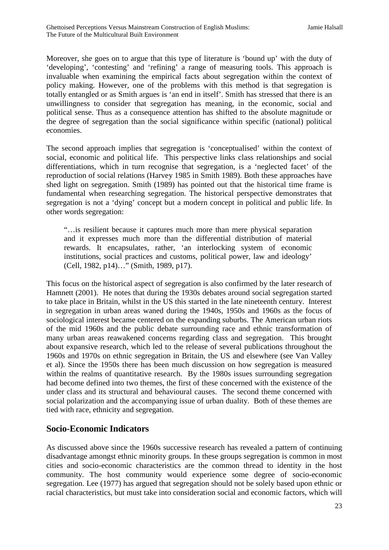Moreover, she goes on to argue that this type of literature is 'bound up' with the duty of 'developing', 'contesting' and 'refining' a range of measuring tools. This approach is invaluable when examining the empirical facts about segregation within the context of policy making. However, one of the problems with this method is that segregation is totally entangled or as Smith argues is 'an end in itself'. Smith has stressed that there is an unwillingness to consider that segregation has meaning, in the economic, social and political sense. Thus as a consequence attention has shifted to the absolute magnitude or the degree of segregation than the social significance within specific (national) political economies.

The second approach implies that segregation is 'conceptualised' within the context of social, economic and political life. This perspective links class relationships and social differentiations, which in turn recognise that segregation, is a 'neglected facet' of the reproduction of social relations (Harvey 1985 in Smith 1989). Both these approaches have shed light on segregation. Smith (1989) has pointed out that the historical time frame is fundamental when researching segregation. The historical perspective demonstrates that segregation is not a 'dying' concept but a modern concept in political and public life. In other words segregation:

"…is resilient because it captures much more than mere physical separation and it expresses much more than the differential distribution of material rewards. It encapsulates, rather, 'an interlocking system of economic institutions, social practices and customs, political power, law and ideology' (Cell, 1982, p14)…" (Smith, 1989, p17).

This focus on the historical aspect of segregation is also confirmed by the later research of Hamnett (2001). He notes that during the 1930s debates around social segregation started to take place in Britain, whilst in the US this started in the late nineteenth century. Interest in segregation in urban areas waned during the 1940s, 1950s and 1960s as the focus of sociological interest became centered on the expanding suburbs. The American urban riots of the mid 1960s and the public debate surrounding race and ethnic transformation of many urban areas reawakened concerns regarding class and segregation. This brought about expansive research, which led to the release of several publications throughout the 1960s and 1970s on ethnic segregation in Britain, the US and elsewhere (see Van Valley et al). Since the 1950s there has been much discussion on how segregation is measured within the realms of quantitative research. By the 1980s issues surrounding segregation had become defined into two themes, the first of these concerned with the existence of the under class and its structural and behavioural causes. The second theme concerned with social polarization and the accompanying issue of urban duality. Both of these themes are tied with race, ethnicity and segregation.

#### **Socio-Economic Indicators**

As discussed above since the 1960s successive research has revealed a pattern of continuing disadvantage amongst ethnic minority groups. In these groups segregation is common in most cities and socio-economic characteristics are the common thread to identity in the host community. The host community would experience some degree of socio-economic segregation. Lee (1977) has argued that segregation should not be solely based upon ethnic or racial characteristics, but must take into consideration social and economic factors, which will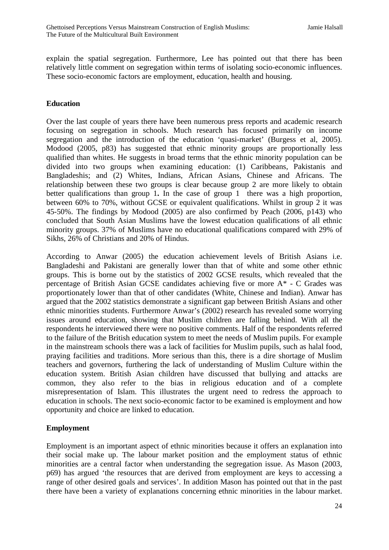explain the spatial segregation. Furthermore, Lee has pointed out that there has been relatively little comment on segregation within terms of isolating socio-economic influences. These socio-economic factors are employment, education, health and housing.

#### **Education**

Over the last couple of years there have been numerous press reports and academic research focusing on segregation in schools. Much research has focused primarily on income segregation and the introduction of the education 'quasi-market' (Burgess et al, 2005). Modood (2005, p83) has suggested that ethnic minority groups are proportionally less qualified than whites. He suggests in broad terms that the ethnic minority population can be divided into two groups when examining education: (1) Caribbeans, Pakistanis and Bangladeshis; and (2) Whites, Indians, African Asians, Chinese and Africans. The relationship between these two groups is clear because group 2 are more likely to obtain better qualifications than group 1**.** In the case of group 1 there was a high proportion, between 60% to 70%, without GCSE or equivalent qualifications. Whilst in group 2 it was 45-50%. The findings by Modood (2005) are also confirmed by Peach (2006, p143) who concluded that South Asian Muslims have the lowest education qualifications of all ethnic minority groups. 37% of Muslims have no educational qualifications compared with 29% of Sikhs, 26% of Christians and 20% of Hindus.

According to Anwar (2005) the education achievement levels of British Asians i.e. Bangladeshi and Pakistani are generally lower than that of white and some other ethnic groups. This is borne out by the statistics of 2002 GCSE results, which revealed that the percentage of British Asian GCSE candidates achieving five or more A\* - C Grades was proportionately lower than that of other candidates (White, Chinese and Indian). Anwar has argued that the 2002 statistics demonstrate a significant gap between British Asians and other ethnic minorities students. Furthermore Anwar's (2002) research has revealed some worrying issues around education, showing that Muslim children are falling behind. With all the respondents he interviewed there were no positive comments. Half of the respondents referred to the failure of the British education system to meet the needs of Muslim pupils. For example in the mainstream schools there was a lack of facilities for Muslim pupils, such as halal food, praying facilities and traditions. More serious than this, there is a dire shortage of Muslim teachers and governors, furthering the lack of understanding of Muslim Culture within the education system. British Asian children have discussed that bullying and attacks are common, they also refer to the bias in religious education and of a complete misrepresentation of Islam. This illustrates the urgent need to redress the approach to education in schools. The next socio-economic factor to be examined is employment and how opportunity and choice are linked to education.

#### **Employment**

Employment is an important aspect of ethnic minorities because it offers an explanation into their social make up. The labour market position and the employment status of ethnic minorities are a central factor when understanding the segregation issue. As Mason (2003, p69) has argued 'the resources that are derived from employment are keys to accessing a range of other desired goals and services'. In addition Mason has pointed out that in the past there have been a variety of explanations concerning ethnic minorities in the labour market.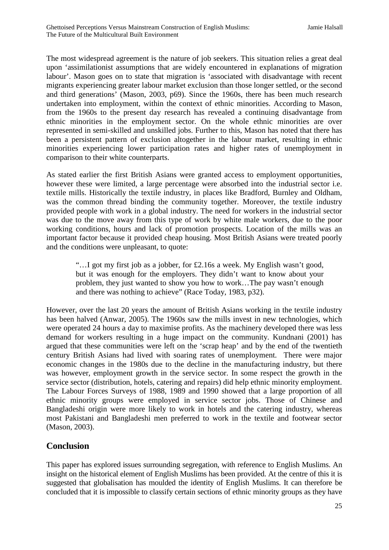The most widespread agreement is the nature of job seekers. This situation relies a great deal upon 'assimilationist assumptions that are widely encountered in explanations of migration labour'. Mason goes on to state that migration is 'associated with disadvantage with recent migrants experiencing greater labour market exclusion than those longer settled, or the second and third generations' (Mason, 2003, p69). Since the 1960s, there has been much research undertaken into employment, within the context of ethnic minorities. According to Mason, from the 1960s to the present day research has revealed a continuing disadvantage from ethnic minorities in the employment sector. On the whole ethnic minorities are over represented in semi-skilled and unskilled jobs. Further to this, Mason has noted that there has been a persistent pattern of exclusion altogether in the labour market, resulting in ethnic minorities experiencing lower participation rates and higher rates of unemployment in comparison to their white counterparts.

As stated earlier the first British Asians were granted access to employment opportunities, however these were limited, a large percentage were absorbed into the industrial sector i.e. textile mills. Historically the textile industry, in places like Bradford, Burnley and Oldham, was the common thread binding the community together. Moreover, the textile industry provided people with work in a global industry. The need for workers in the industrial sector was due to the move away from this type of work by white male workers, due to the poor working conditions, hours and lack of promotion prospects. Location of the mills was an important factor because it provided cheap housing. Most British Asians were treated poorly and the conditions were unpleasant, to quote:

"…I got my first job as a jobber, for £2.16s a week. My English wasn't good, but it was enough for the employers. They didn't want to know about your problem, they just wanted to show you how to work…The pay wasn't enough and there was nothing to achieve" (Race Today, 1983, p32).

However, over the last 20 years the amount of British Asians working in the textile industry has been halved (Anwar, 2005). The 1960s saw the mills invest in new technologies, which were operated 24 hours a day to maximise profits. As the machinery developed there was less demand for workers resulting in a huge impact on the community. Kundnani (2001) has argued that these communities were left on the 'scrap heap' and by the end of the twentieth century British Asians had lived with soaring rates of unemployment. There were major economic changes in the 1980s due to the decline in the manufacturing industry, but there was however, employment growth in the service sector. In some respect the growth in the service sector (distribution, hotels, catering and repairs) did help ethnic minority employment. The Labour Forces Surveys of 1988, 1989 and 1990 showed that a large proportion of all ethnic minority groups were employed in service sector jobs. Those of Chinese and Bangladeshi origin were more likely to work in hotels and the catering industry, whereas most Pakistani and Bangladeshi men preferred to work in the textile and footwear sector (Mason, 2003).

#### **Conclusion**

This paper has explored issues surrounding segregation, with reference to English Muslims. An insight on the historical element of English Muslims has been provided. At the centre of this it is suggested that globalisation has moulded the identity of English Muslims. It can therefore be concluded that it is impossible to classify certain sections of ethnic minority groups as they have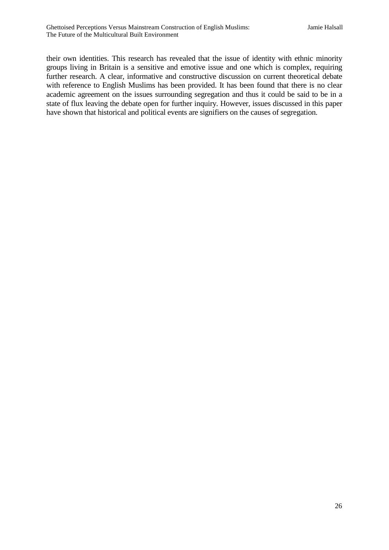their own identities. This research has revealed that the issue of identity with ethnic minority groups living in Britain is a sensitive and emotive issue and one which is complex, requiring further research. A clear, informative and constructive discussion on current theoretical debate with reference to English Muslims has been provided. It has been found that there is no clear academic agreement on the issues surrounding segregation and thus it could be said to be in a state of flux leaving the debate open for further inquiry. However, issues discussed in this paper have shown that historical and political events are signifiers on the causes of segregation.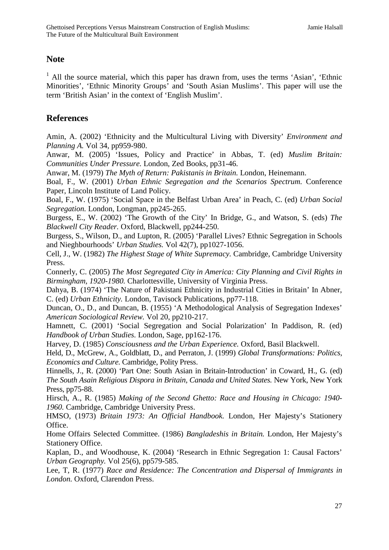#### **Note**

 $<sup>1</sup>$  All the source material, which this paper has drawn from, uses the terms 'Asian', 'Ethnic'</sup> Minorities', 'Ethnic Minority Groups' and 'South Asian Muslims'. This paper will use the term 'British Asian' in the context of 'English Muslim'.

#### **References**

Amin, A. (2002) 'Ethnicity and the Multicultural Living with Diversity' *Environment and Planning A.* Vol 34, pp959-980.

Anwar, M. (2005) 'Issues, Policy and Practice' in Abbas, T. (ed) *Muslim Britain: Communities Under Pressure.* London, Zed Books, pp31-46.

Anwar, M. (1979) *The Myth of Return: Pakistanis in Britain.* London, Heinemann.

Boal, F., W. (2001) *Urban Ethnic Segregation and the Scenarios Spectrum.* Conference Paper, Lincoln Institute of Land Policy.

Boal, F., W. (1975) 'Social Space in the Belfast Urban Area' in Peach, C. (ed) *Urban Social Segregation.* London, Longman, pp245-265.

Burgess, E., W. (2002) 'The Growth of the City' In Bridge, G., and Watson, S. (eds) *The Blackwell City Reader.* Oxford, Blackwell, pp244-250.

Burgess, S., Wilson, D., and Lupton, R. (2005) 'Parallel Lives? Ethnic Segregation in Schools and Nieghbourhoods' *Urban Studies.* Vol 42(7), pp1027-1056.

Cell, J., W. (1982) *The Highest Stage of White Supremacy.* Cambridge, Cambridge University Press.

Connerly, C. (2005) *The Most Segregated City in America: City Planning and Civil Rights in Birmingham, 1920-1980.* Charlottesville, University of Virginia Press.

Dahya, B. (1974) 'The Nature of Pakistani Ethnicity in Industrial Cities in Britain' In Abner, C. (ed) *Urban Ethnicity.* London, Tavisock Publications, pp77-118.

Duncan, O., D., and Duncan, B. (1955) 'A Methodological Analysis of Segregation Indexes' *American Sociological Review.* Vol 20, pp210-217.

Hamnett, C. (2001) 'Social Segregation and Social Polarization' In Paddison, R. (ed) *Handbook of Urban Studies.* London, Sage, pp162-176.

Harvey, D. (1985) *Consciousness and the Urban Experience.* Oxford, Basil Blackwell.

Held, D., McGrew, A., Goldblatt, D., and Perraton, J. (1999) *Global Transformations: Politics, Economics and Culture.* Cambridge, Polity Press.

Hinnells, J., R. (2000) 'Part One: South Asian in Britain-Introduction' in Coward, H., G. (ed) *The South Asain Religious Dispora in Britain, Canada and United States.* New York, New York Press, pp75-88.

Hirsch, A., R. (1985) *Making of the Second Ghetto: Race and Housing in Chicago: 1940- 1960.* Cambridge, Cambridge University Press.

HMSO, (1973) *Britain 1973: An Official Handbook.* London, Her Majesty's Stationery Office.

Home Offairs Selected Committee. (1986) *Bangladeshis in Britain.* London, Her Majesty's Stationery Office.

Kaplan, D., and Woodhouse, K. (2004) 'Research in Ethnic Segregation 1: Causal Factors' *Urban Geography.* Vol 25(6), pp579-585.

Lee, T, R. (1977) *Race and Residence: The Concentration and Dispersal of Immigrants in London.* Oxford, Clarendon Press.